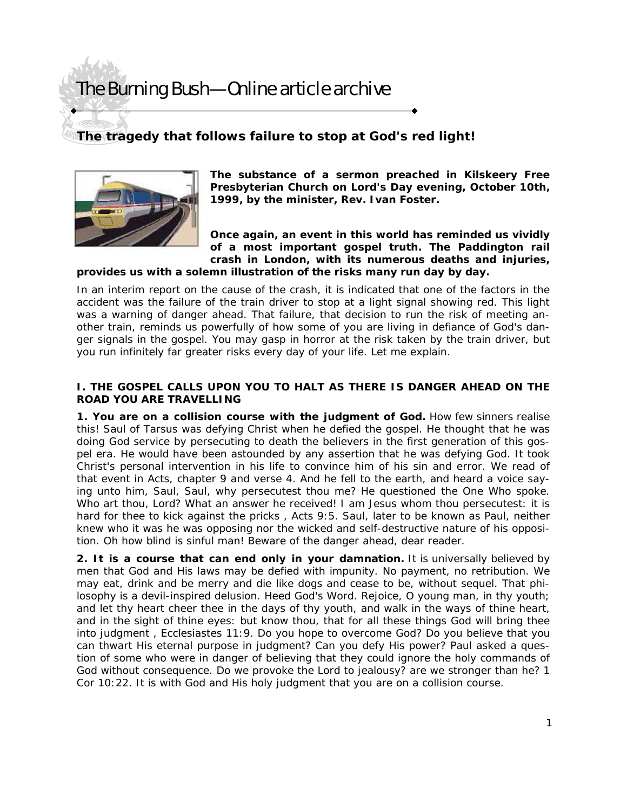# The Burning Bush—Online article archive

### **The tragedy that follows failure to stop at God's red light!**



**The substance of a sermon preached in Kilskeery Free Presbyterian Church on Lord's Day evening, October 10th, 1999, by the minister, Rev. Ivan Foster.** 

**Once again, an event in this world has reminded us vividly of a most important gospel truth. The Paddington rail crash in London, with its numerous deaths and injuries,** 

#### **provides us with a solemn illustration of the risks many run day by day.**

In an interim report on the cause of the crash, it is indicated that one of the factors in the accident was the failure of the train driver to stop at a light signal showing red. This light was a warning of danger ahead. That failure, that decision to run the risk of meeting another train, reminds us powerfully of how some of you are living in defiance of God's danger signals in the gospel. You may gasp in horror at the risk taken by the train driver, but you run infinitely far greater risks every day of your life. Let me explain.

#### **I. THE GOSPEL CALLS UPON YOU TO HALT AS THERE IS DANGER AHEAD ON THE ROAD YOU ARE TRAVELLING**

**1. You are on a collision course with the judgment of God.** How few sinners realise this! Saul of Tarsus was defying Christ when he defied the gospel. He thought that he was doing God service by persecuting to death the believers in the first generation of this gospel era. He would have been astounded by any assertion that he was defying God. It took Christ's personal intervention in his life to convince him of his sin and error. We read of that event in Acts, chapter 9 and verse 4. *And he fell to the earth, and heard a voice saying unto him, Saul, Saul, why persecutest thou me?* He questioned the One Who spoke. *Who art thou, Lord?* What an answer he received! *I am Jesus whom thou persecutest: it is hard for thee to kick against the pricks* , Acts 9:5. Saul, later to be known as Paul, neither knew who it was he was opposing nor the wicked and self-destructive nature of his opposition. Oh how blind is sinful man! Beware of the danger ahead, dear reader.

**2. It is a course that can end only in your damnation.** It is universally believed by men that God and His laws may be defied with impunity. No payment, no retribution. We may *eat, drink and be merry* and die like dogs and cease to be, without sequel. That philosophy is a devil-inspired delusion. Heed God's Word. *Rejoice, O young man, in thy youth; and let thy heart cheer thee in the days of thy youth, and walk in the ways of thine heart, and in the sight of thine eyes: but know thou, that for all these things God will bring thee into judgment* , Ecclesiastes 11:9. Do you hope to overcome God? Do you believe that you can thwart His eternal purpose in judgment? Can you defy His power? Paul asked a question of some who were in danger of believing that they could ignore the holy commands of God without consequence. *Do we provoke the Lord to jealousy? are we stronger than he?* 1 Cor 10:22. It is with God and His holy judgment that you are on a collision course.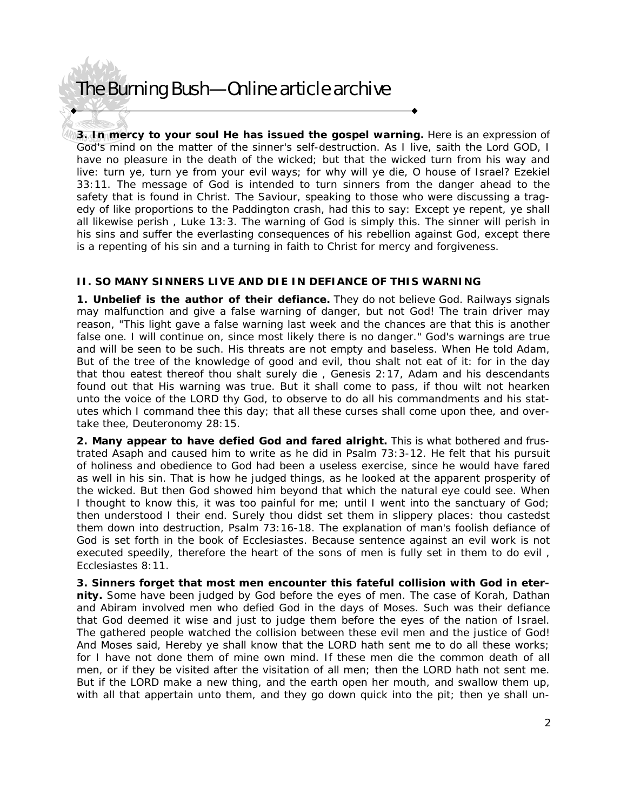# The Burning Bush—Online article archive

**3. In mercy to your soul He has issued the gospel warning.** Here is an expression of God's mind on the matter of the sinner's self-destruction. *As I live, saith the Lord GOD, I*  have no pleasure in the death of the wicked; but that the wicked turn from his way and *live: turn ye, turn ye from your evil ways; for why will ye die, O house of Israel?* Ezekiel 33:11. The message of God is intended to turn sinners from the danger ahead to the safety that is found in Christ. The Saviour, speaking to those who were discussing a tragedy of like proportions to the Paddington crash, had this to say: *Except ye repent, ye shall all likewise perish* , Luke 13:3. The warning of God is simply this. The sinner will perish in his sins and suffer the everlasting consequences of his rebellion against God, except there is a repenting of his sin and a turning in faith to Christ for mercy and forgiveness.

#### **II. SO MANY SINNERS LIVE AND DIE IN DEFIANCE OF THIS WARNING**

**1. Unbelief is the author of their defiance.** They do not believe God. Railways signals may malfunction and give a false warning of danger, but not God! The train driver may reason, "This light gave a false warning last week and the chances are that this is another false one. I will continue on, since most likely there is no danger." God's warnings are true and will be seen to be such. His threats are not empty and baseless. When He told Adam, *But of the tree of the knowledge of good and evil, thou shalt not eat of it: for in the day that thou eatest thereof thou shalt surely die* , Genesis 2:17, Adam and his descendants found out that His warning was true. *But it shall come to pass, if thou wilt not hearken unto the voice of the LORD thy God, to observe to do all his commandments and his statutes which I command thee this day; that all these curses shall come upon thee, and overtake thee,* Deuteronomy 28:15.

**2. Many appear to have defied God and fared alright.** This is what bothered and frustrated Asaph and caused him to write as he did in Psalm 73:3-12. He felt that his pursuit of holiness and obedience to God had been a useless exercise, since he would have fared as well in his sin. That is how he judged things, as he looked at the apparent prosperity of the wicked. But then God showed him beyond that which the natural eye could see. *When I thought to know this, it was too painful for me; until I went into the sanctuary of God; then understood I their end. Surely thou didst set them in slippery places: thou castedst them down into destruction,* Psalm 73:16-18. The explanation of man's foolish defiance of God is set forth in the book of Ecclesiastes. *Because sentence against an evil work is not executed speedily, therefore the heart of the sons of men is fully set in them to do evil* , Ecclesiastes 8:11.

**3. Sinners forget that most men encounter this fateful collision with God in eternity.** Some have been judged by God before the eyes of men. The case of Korah, Dathan and Abiram involved men who defied God in the days of Moses. Such was their defiance that God deemed it wise and just to judge them before the eyes of the nation of Israel. The gathered people watched the collision between these evil men and the justice of God! *And Moses said, Hereby ye shall know that the LORD hath sent me to do all these works;*  for I have not done them of mine own mind. If these men die the common death of all *men, or if they be visited after the visitation of all men; then the LORD hath not sent me. But if the LORD make a new thing, and the earth open her mouth, and swallow them up, with all that appertain unto them, and they go down quick into the pit; then ye shall un-*